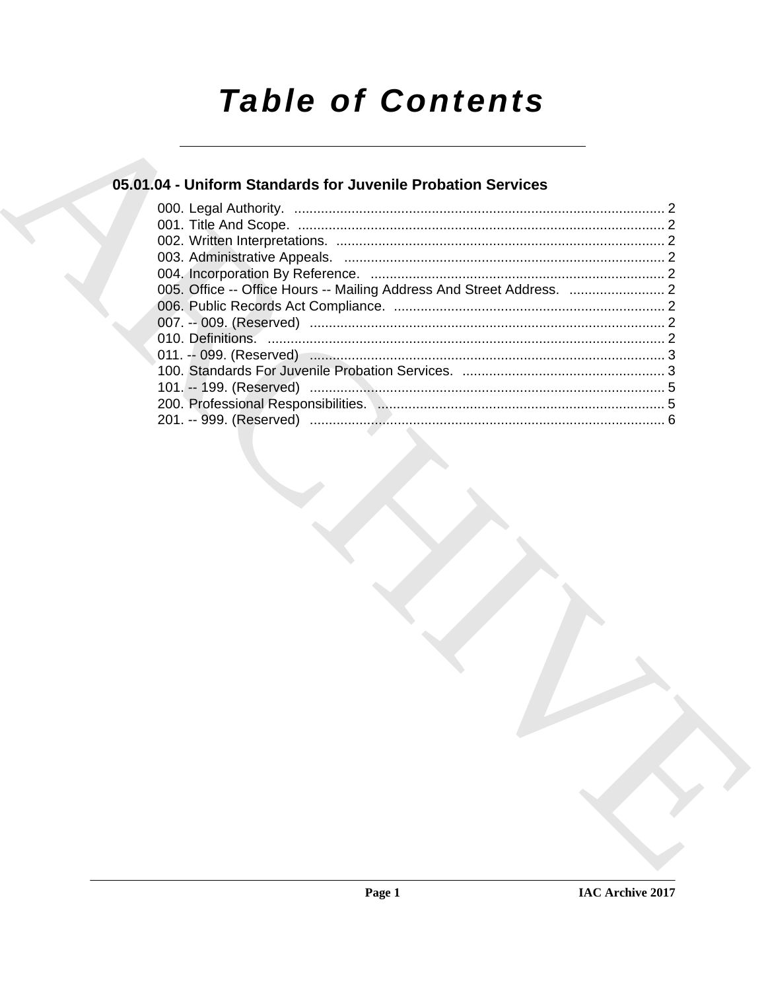# **Table of Contents**

# 05.01.04 - Uniform Standards for Juvenile Probation Services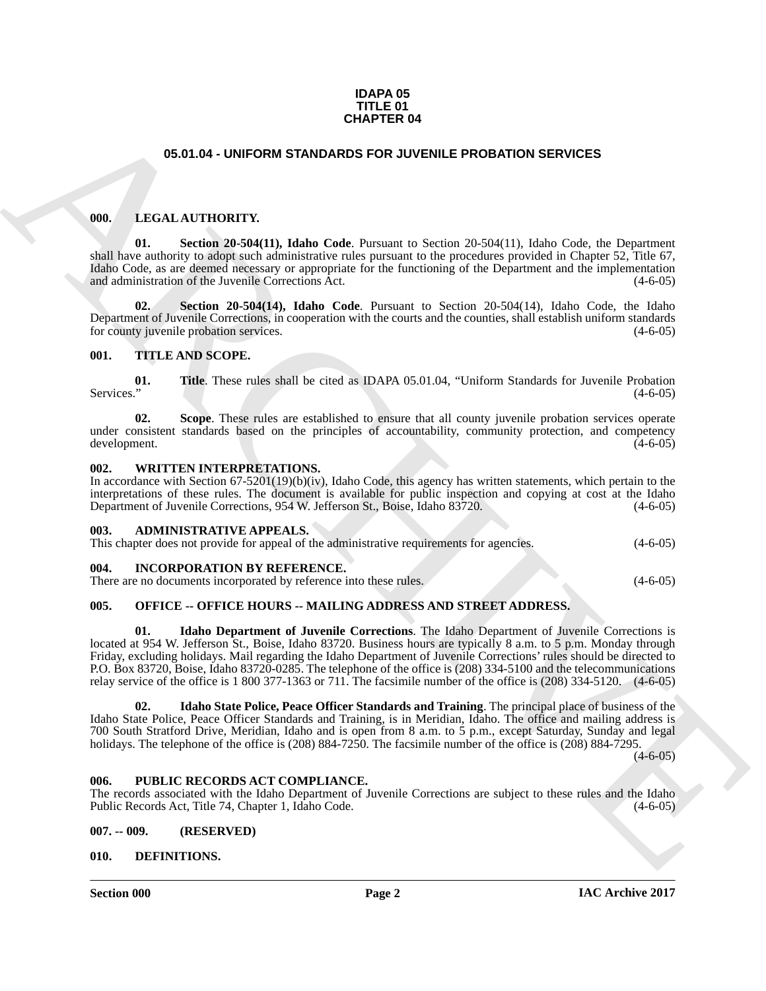#### **IDAPA 05 TITLE 01 CHAPTER 04**

# **05.01.04 - UNIFORM STANDARDS FOR JUVENILE PROBATION SERVICES**

## <span id="page-1-1"></span><span id="page-1-0"></span>**000. LEGAL AUTHORITY.**

**01. Section 20-504(11), Idaho Code**. Pursuant to Section 20-504(11), Idaho Code, the Department shall have authority to adopt such administrative rules pursuant to the procedures provided in Chapter 52, Title 67, Idaho Code, as are deemed necessary or appropriate for the functioning of the Department and the implementation and administration of the Juvenile Corrections Act.

**02. Section 20-504(14), Idaho Code**. Pursuant to Section 20-504(14), Idaho Code, the Idaho Department of Juvenile Corrections, in cooperation with the courts and the counties, shall establish uniform standards for county invenile probation services. for county juvenile probation services.

## <span id="page-1-2"></span>**001. TITLE AND SCOPE.**

**01.** Title. These rules shall be cited as IDAPA 05.01.04, "Uniform Standards for Juvenile Probation (4-6-05) Services." (4-6-05)

**02. Scope**. These rules are established to ensure that all county juvenile probation services operate under consistent standards based on the principles of accountability, community protection, and competency development. (4-6-05) development.

#### <span id="page-1-3"></span>**002. WRITTEN INTERPRETATIONS.**

In accordance with Section 67-5201(19)(b)(iv), Idaho Code, this agency has written statements, which pertain to the interpretations of these rules. The document is available for public inspection and copying at cost at the Idaho<br>Department of Juvenile Corrections, 954 W. Jefferson St., Boise, Idaho 83720. (4-6-05) Department of Juvenile Corrections, 954 W. Jefferson St., Boise, Idaho 83720.

## <span id="page-1-4"></span>**003. ADMINISTRATIVE APPEALS.**

This chapter does not provide for appeal of the administrative requirements for agencies.  $(4-6-05)$ 

## <span id="page-1-5"></span>**004. INCORPORATION BY REFERENCE.**

There are no documents incorporated by reference into these rules. (4-6-05)

# <span id="page-1-6"></span>**005. OFFICE -- OFFICE HOURS -- MAILING ADDRESS AND STREET ADDRESS.**

**CHAPTER STANDARDS FOR UNIVERSITY.** CONFIGURATION SERVICES<br>
101. IECAL AUTHORITY.<br>
101. Service Registration Content in Service Registration Content in Service Registration Content in Content<br>
2018. Content Based Content **01. Idaho Department of Juvenile Corrections**. The Idaho Department of Juvenile Corrections is located at 954 W. Jefferson St., Boise, Idaho 83720. Business hours are typically 8 a.m. to 5 p.m. Monday through Friday, excluding holidays. Mail regarding the Idaho Department of Juvenile Corrections' rules should be directed to P.O. Box 83720, Boise, Idaho 83720-0285. The telephone of the office is (208) 334-5100 and the telecommunications relay service of the office is 1 800 377-1363 or 711. The facsimile number of the office is (208) 334-5120. (4-6-05)

**02. Idaho State Police, Peace Officer Standards and Training**. The principal place of business of the Idaho State Police, Peace Officer Standards and Training, is in Meridian, Idaho. The office and mailing address is 700 South Stratford Drive, Meridian, Idaho and is open from 8 a.m. to 5 p.m., except Saturday, Sunday and legal holidays. The telephone of the office is (208) 884-7250. The facsimile number of the office is (208) 884-7295.

 $(4-6-05)$ 

# <span id="page-1-7"></span>**006. PUBLIC RECORDS ACT COMPLIANCE.**

The records associated with the Idaho Department of Juvenile Corrections are subject to these rules and the Idaho Public Records Act, Title 74, Chapter 1, Idaho Code. (4-6-05) Public Records Act, Title 74, Chapter 1, Idaho Code.

## <span id="page-1-8"></span>**007. -- 009. (RESERVED)**

# <span id="page-1-9"></span>**010. DEFINITIONS.**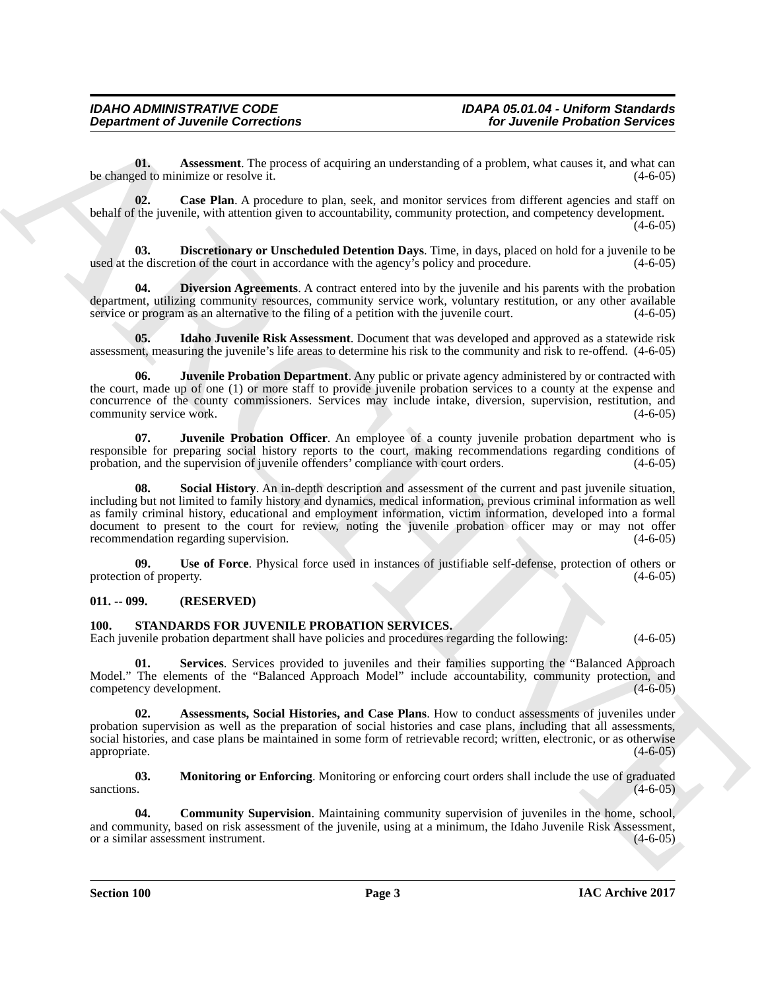<span id="page-2-2"></span>**01.** Assessment. The process of acquiring an understanding of a problem, what causes it, and what can ed to minimize or resolve it.  $(4-6-05)$ be changed to minimize or resolve it.

<span id="page-2-3"></span>**02.** Case Plan. A procedure to plan, seek, and monitor services from different agencies and staff on behalf of the juvenile, with attention given to accountability, community protection, and competency development.  $(4-6-05)$ 

<span id="page-2-4"></span>**03. Discretionary or Unscheduled Detention Days**. Time, in days, placed on hold for a juvenile to be used at the discretion of the court in accordance with the agency's policy and procedure. (4-6-05)

<span id="page-2-5"></span>**Diversion Agreements**. A contract entered into by the juvenile and his parents with the probation department, utilizing community resources, community service work, voluntary restitution, or any other available service or program as an alternative to the filing of a petition with the juvenile court. (4-6-05)

<span id="page-2-6"></span>**05. Idaho Juvenile Risk Assessment**. Document that was developed and approved as a statewide risk assessment, measuring the juvenile's life areas to determine his risk to the community and risk to re-offend. (4-6-05)

<span id="page-2-7"></span>**06. Juvenile Probation Department**. Any public or private agency administered by or contracted with the court, made up of one (1) or more staff to provide juvenile probation services to a county at the expense and concurrence of the county commissioners. Services may include intake, diversion, supervision, restitution, and community service work.

<span id="page-2-9"></span><span id="page-2-8"></span>**07. Juvenile Probation Officer**. An employee of a county juvenile probation department who is responsible for preparing social history reports to the court, making recommendations regarding conditions of probation, and the supervision of invenile offenders' compliance with court orders. (4-6-05) probation, and the supervision of juvenile offenders' compliance with court orders.

**Department of Juvenile Corrections**<br>
University for Juvenile Corrections<br>
University of the system of the problem of the problem of the problem of the system of the system of the system of the system of the system of the **Social History**. An in-depth description and assessment of the current and past juvenile situation, including but not limited to family history and dynamics, medical information, previous criminal information as well as family criminal history, educational and employment information, victim information, developed into a formal document to present to the court for review, noting the juvenile probation officer may or may not offer recommendation regarding supervision. (4-6-05)

<span id="page-2-10"></span>**09.** Use of Force. Physical force used in instances of justifiable self-defense, protection of others or n of property.  $(4-6-05)$ protection of property.

# <span id="page-2-0"></span>**011. -- 099. (RESERVED)**

# <span id="page-2-1"></span>**100. STANDARDS FOR JUVENILE PROBATION SERVICES.**

Each juvenile probation department shall have policies and procedures regarding the following: (4-6-05)

<span id="page-2-14"></span>**01. Services**. Services provided to juveniles and their families supporting the "Balanced Approach Model." The elements of the "Balanced Approach Model" include accountability, community protection, and competency development. (4-6-05) competency development.

<span id="page-2-11"></span>**Assessments, Social Histories, and Case Plans**. How to conduct assessments of juveniles under probation supervision as well as the preparation of social histories and case plans, including that all assessments, social histories, and case plans be maintained in some form of retrievable record; written, electronic, or as otherwise appropriate. (4-6-05) appropriate. (4-6-05)

<span id="page-2-13"></span>**03. Monitoring or Enforcing**. Monitoring or enforcing court orders shall include the use of graduated sanctions.  $(4-6-05)$ 

<span id="page-2-12"></span>**04. Community Supervision**. Maintaining community supervision of juveniles in the home, school, and community, based on risk assessment of the juvenile, using at a minimum, the Idaho Juvenile Risk Assessment, or a similar assessment instrument. (4-6-05) or a similar assessment instrument.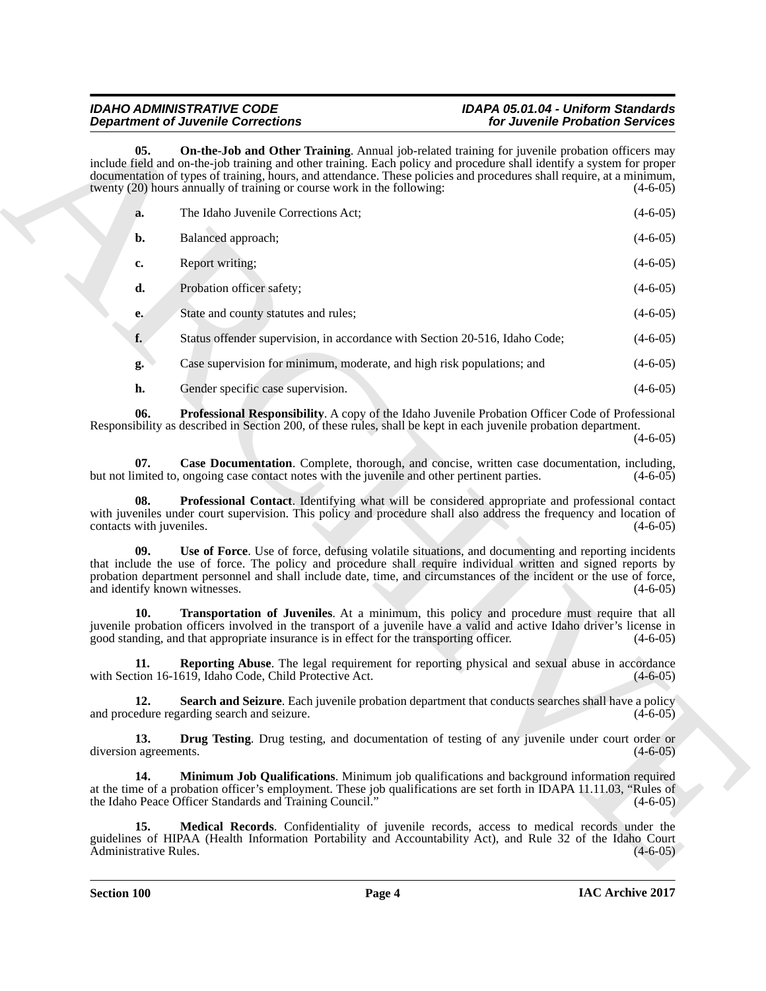# <span id="page-3-10"></span><span id="page-3-9"></span><span id="page-3-8"></span><span id="page-3-7"></span><span id="page-3-6"></span><span id="page-3-5"></span><span id="page-3-4"></span><span id="page-3-3"></span><span id="page-3-2"></span><span id="page-3-1"></span><span id="page-3-0"></span>*IDAHO ADMINISTRATIVE CODE IDAPA 05.01.04 - Uniform Standards Department of Juvenile Corrections*

|                                      | <b>Department of Juvenile Corrections</b>                                                                                                                                                                                                                                                                                                                                                                                    | for Juvenile Probation Services |
|--------------------------------------|------------------------------------------------------------------------------------------------------------------------------------------------------------------------------------------------------------------------------------------------------------------------------------------------------------------------------------------------------------------------------------------------------------------------------|---------------------------------|
| 05.                                  | On-the-Job and Other Training. Annual job-related training for juvenile probation officers may<br>include field and on-the-job training and other training. Each policy and procedure shall identify a system for proper<br>documentation of types of training, hours, and attendance. These policies and procedures shall require, at a minimum,<br>twenty (20) hours annually of training or course work in the following: | $(4-6-05)$                      |
| a.                                   | The Idaho Juvenile Corrections Act;                                                                                                                                                                                                                                                                                                                                                                                          | $(4-6-05)$                      |
| b.                                   | Balanced approach;                                                                                                                                                                                                                                                                                                                                                                                                           | $(4-6-05)$                      |
| c.                                   | Report writing;                                                                                                                                                                                                                                                                                                                                                                                                              | $(4-6-05)$                      |
| d.                                   | Probation officer safety;                                                                                                                                                                                                                                                                                                                                                                                                    | $(4-6-05)$                      |
| e.                                   | State and county statutes and rules;                                                                                                                                                                                                                                                                                                                                                                                         | $(4-6-05)$                      |
| f.                                   | Status offender supervision, in accordance with Section 20-516, Idaho Code;                                                                                                                                                                                                                                                                                                                                                  | $(4-6-05)$                      |
| g.                                   | Case supervision for minimum, moderate, and high risk populations; and                                                                                                                                                                                                                                                                                                                                                       | $(4-6-05)$                      |
| h.                                   | Gender specific case supervision.                                                                                                                                                                                                                                                                                                                                                                                            | $(4-6-05)$                      |
| 06.                                  | Professional Responsibility. A copy of the Idaho Juvenile Probation Officer Code of Professional<br>Responsibility as described in Section 200, of these rules, shall be kept in each juvenile probation department.                                                                                                                                                                                                         | $(4-6-05)$                      |
| 07.                                  | Case Documentation. Complete, thorough, and concise, written case documentation, including,<br>but not limited to, ongoing case contact notes with the juvenile and other pertinent parties.                                                                                                                                                                                                                                 | $(4-6-05)$                      |
| 08.<br>contacts with juveniles.      | Professional Contact. Identifying what will be considered appropriate and professional contact<br>with juveniles under court supervision. This policy and procedure shall also address the frequency and location of                                                                                                                                                                                                         | $(4-6-05)$                      |
| 09.<br>and identify known witnesses. | Use of Force. Use of force, defusing volatile situations, and documenting and reporting incidents<br>that include the use of force. The policy and procedure shall require individual written and signed reports by<br>probation department personnel and shall include date, time, and circumstances of the incident or the use of force,                                                                                   | $(4-6-05)$                      |
| 10.                                  | Transportation of Juveniles. At a minimum, this policy and procedure must require that all<br>juvenile probation officers involved in the transport of a juvenile have a valid and active Idaho driver's license in<br>good standing, and that appropriate insurance is in effect for the transporting officer.                                                                                                              | $(4-6-05)$                      |
| 11.                                  | Reporting Abuse. The legal requirement for reporting physical and sexual abuse in accordance<br>with Section 16-1619, Idaho Code, Child Protective Act.                                                                                                                                                                                                                                                                      | $(4 - 6 - 05)$                  |
| 12.                                  | Search and Seizure. Each juvenile probation department that conducts searches shall have a policy<br>and procedure regarding search and seizure.                                                                                                                                                                                                                                                                             | $(4-6-05)$                      |
| 13.<br>diversion agreements.         | <b>Drug Testing.</b> Drug testing, and documentation of testing of any juvenile under court order or                                                                                                                                                                                                                                                                                                                         | $(4-6-05)$                      |
| 14.                                  | Minimum Job Qualifications. Minimum job qualifications and background information required<br>at the time of a probation officer's employment. These job qualifications are set forth in IDAPA 11.11.03, "Rules of<br>the Idaho Peace Officer Standards and Training Council."                                                                                                                                               | $(4-6-05)$                      |
| 15.                                  | Medical Records. Confidentiality of juvenile records, access to medical records under the<br>guidelines of HIPAA (Health Information Portability and Accountability Act), and Rule 32 of the Idaho Court                                                                                                                                                                                                                     |                                 |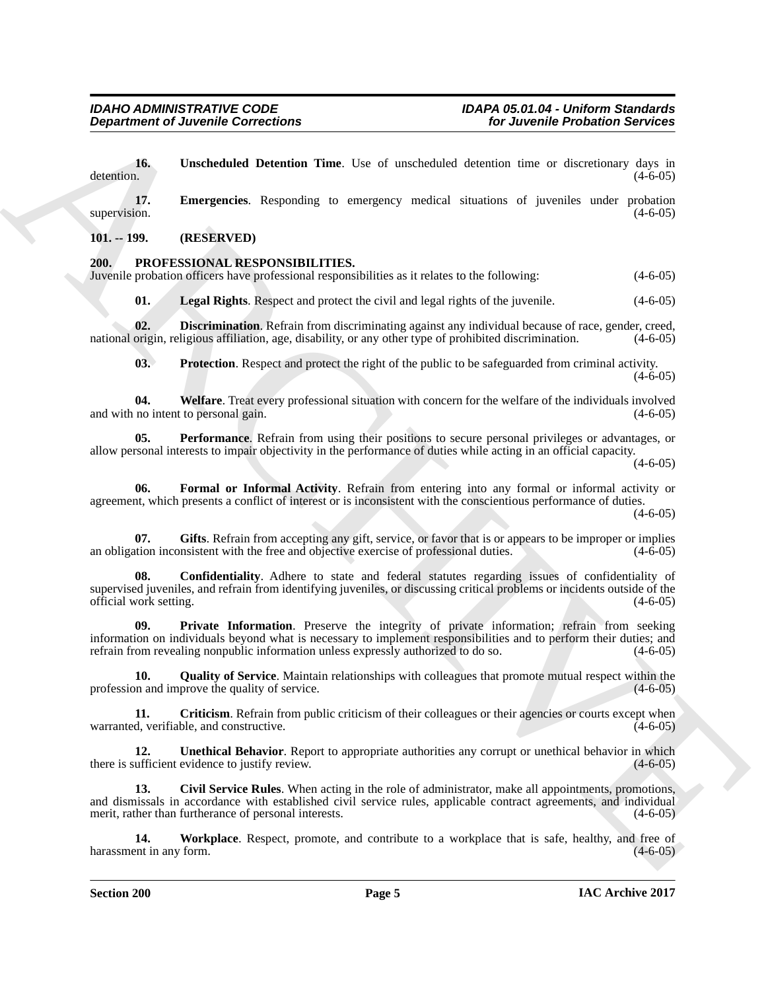**Department of Juvenile Connections**<br> **Archives** of *Connections*<br> **Archives Connections**<br> **A**<br> **A**<br> **ARCHIVES CONNECTIONS**<br> **ARCHIVES CONNECTIONS**<br> **ARCHIVES CONNECTIONS**<br> **ARCHIVES CONNECTIONS**<br> **ARCHIVES CONNECTIONS**<br> **16. Unscheduled Detention Time**. Use of unscheduled detention time or discretionary days in detention. (4-6-05) detention.  $(4-6-05)$ 

<span id="page-4-17"></span><span id="page-4-16"></span>**17. Emergencies**. Responding to emergency medical situations of juveniles under probation supervision. (4-6-05)

<span id="page-4-0"></span>**101. -- 199. (RESERVED)**

# <span id="page-4-1"></span>**200. PROFESSIONAL RESPONSIBILITIES.**

Juvenile probation officers have professional responsibilities as it relates to the following: (4-6-05)

<span id="page-4-8"></span><span id="page-4-5"></span>**01. Legal Rights**. Respect and protect the civil and legal rights of the juvenile. (4-6-05)

**02. Discrimination**. Refrain from discriminating against any individual because of race, gender, creed, origin, religious affiliation, age, disability, or any other type of prohibited discrimination. (4-6-05) national origin, religious affiliation, age, disability, or any other type of prohibited discrimination.

<span id="page-4-14"></span><span id="page-4-11"></span><span id="page-4-9"></span>**03. Protection**. Respect and protect the right of the public to be safeguarded from criminal activity.

**04.** Welfare. Treat every professional situation with concern for the welfare of the individuals involved no intent to personal gain.  $(4-6-05)$ and with no intent to personal gain.

**05. Performance**. Refrain from using their positions to secure personal privileges or advantages, or allow personal interests to impair objectivity in the performance of duties while acting in an official capacity.

 $(4-6-05)$ 

 $(4-6-05)$ 

<span id="page-4-6"></span>**06. Formal or Informal Activity**. Refrain from entering into any formal or informal activity or agreement, which presents a conflict of interest or is inconsistent with the conscientious performance of duties.

 $(4-6-05)$ 

<span id="page-4-7"></span>**07.** Gifts. Refrain from accepting any gift, service, or favor that is or appears to be improper or implies tion inconsistent with the free and objective exercise of professional duties. (4-6-05) an obligation inconsistent with the free and objective exercise of professional duties.

<span id="page-4-3"></span>**08. Confidentiality**. Adhere to state and federal statutes regarding issues of confidentiality of supervised juveniles, and refrain from identifying juveniles, or discussing critical problems or incidents outside of the official work setting. (4-6-05)

<span id="page-4-10"></span>**09. Private Information**. Preserve the integrity of private information; refrain from seeking information on individuals beyond what is necessary to implement responsibilities and to perform their duties; and refrain from revealing nonpublic information unless expressly authorized to do so. (4-6-05)

<span id="page-4-12"></span>**10. Quality of Service**. Maintain relationships with colleagues that promote mutual respect within the on and improve the quality of service. (4-6-05) profession and improve the quality of service.

<span id="page-4-4"></span>**11. Criticism**. Refrain from public criticism of their colleagues or their agencies or courts except when d, verifiable, and constructive. warranted, verifiable, and constructive.

<span id="page-4-13"></span>**12. Unethical Behavior**. Report to appropriate authorities any corrupt or unethical behavior in which ufficient evidence to justify review. there is sufficient evidence to justify review.

<span id="page-4-2"></span>**13. Civil Service Rules**. When acting in the role of administrator, make all appointments, promotions, and dismissals in accordance with established civil service rules, applicable contract agreements, and individual merit, rather than furtherance of personal interests. (4-6-05) (4-6-05)

<span id="page-4-15"></span>**14. Workplace**. Respect, promote, and contribute to a workplace that is safe, healthy, and free of ent in any form. (4-6-05) harassment in any form.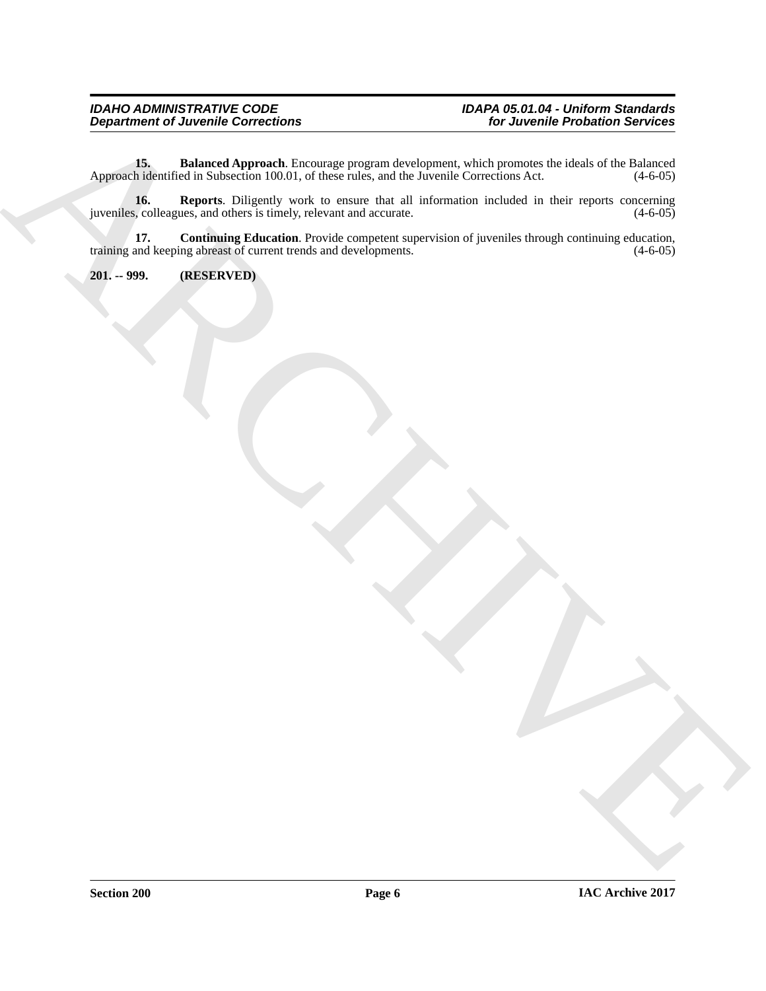# <span id="page-5-1"></span>*IDAHO ADMINISTRATIVE CODE IDAPA 05.01.04 - Uniform Standards Department of Juvenile Corrections for Juvenile Probation Services*

Department of Juvenile Convention<br>
Approximated Subsets (1974) and the second services in the second services of the lateration of the lateration<br>
Approximated Subsets (1974) with the convention of the service of the servi **15. Balanced Approach**. Encourage program development, which promotes the ideals of the Balanced hidentified in Subsection 100.01, of these rules, and the Juvenile Corrections Act. (4-6-05) Approach identified in Subsection 100.01, of these rules, and the Juvenile Corrections Act.

<span id="page-5-3"></span>**16. Reports**. Diligently work to ensure that all information included in their reports concerning is, colleagues, and others is timely, relevant and accurate. (4-6-05) juveniles, colleagues, and others is timely, relevant and accurate.

<span id="page-5-2"></span>**17. Continuing Education**. Provide competent supervision of juveniles through continuing education, and keeping abreast of current trends and developments. (4-6-05) training and keeping abreast of current trends and developments.

<span id="page-5-0"></span>**201. -- 999. (RESERVED)**